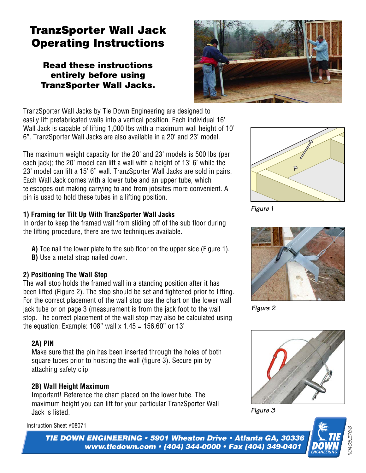# **TranzSporter Wall Jack Operating Instructions**

# **Read these instructions entirely before using TranzSporter Wall Jacks.**



TranzSporter Wall Jacks by Tie Down Engineering are designed to easily lift prefabricated walls into a vertical position. Each individual 16' Wall Jack is capable of lifting 1,000 lbs with a maximum wall height of 10' 6". TranzSporter Wall Jacks are also available in a 20' and 23' model.

The maximum weight capacity for the 20' and 23' models is 500 lbs (per each jack); the 20' model can lift a wall with a height of 13' 6' while the 23' model can lift a 15' 6" wall. TranzSporter Wall Jacks are sold in pairs. Each Wall Jack comes with a lower tube and an upper tube, which telescopes out making carrying to and from jobsites more convenient. A pin is used to hold these tubes in a lifting position.

#### **1) Framing for Tilt Up With TranzSporter Wall Jacks**

In order to keep the framed wall from sliding off of the sub floor during the lifting procedure, there are two techniques available.

- **A)** Toe nail the lower plate to the sub floor on the upper side (Figure 1).
- **B)** Use a metal strap nailed down.

# **2) Positioning The Wall Stop**

The wall stop holds the framed wall in a standing position after it has been lifted (Figure 2). The stop should be set and tightened prior to lifting. For the correct placement of the wall stop use the chart on the lower wall jack tube or on page 3 (measurement is from the jack foot to the wall stop. The correct placement of the wall stop may also be calculated using the equation: Example: 108" wall  $x$  1.45 = 156.60" or 13'

#### **2A) PIN**

Make sure that the pin has been inserted through the holes of both square tubes prior to hoisting the wall (figure 3). Secure pin by attaching safety clip

# **2B) Wall Height Maximum**

Important! Reference the chart placed on the lower tube. The maximum height you can lift for your particular TranzSporter Wall Jack is listed.

Instruction Sheet #08071



*Figure 1*



*Figure 2*







*TIE DOWN ENGINEERING • 5901 Wheaton Drive • Atlanta GA, 30336 www.tiedown.com • (404) 344-0000 • Fax (404) 349-0401*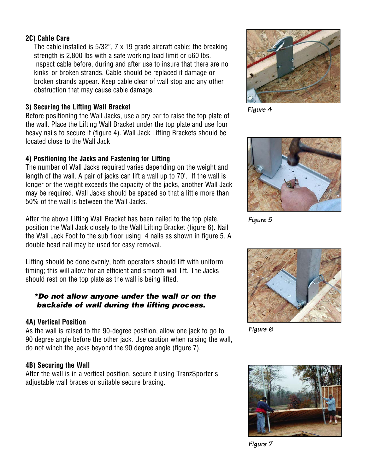# **2C) Cable Care**

The cable installed is  $5/32$ ",  $7 \times 19$  grade aircraft cable; the breaking strength is 2,800 lbs with a safe working load limit or 560 lbs. Inspect cable before, during and after use to insure that there are no kinks or broken strands. Cable should be replaced if damage or broken strands appear. Keep cable clear of wall stop and any other obstruction that may cause cable damage.

#### **3) Securing the Lifting Wall Bracket**

Before positioning the Wall Jacks, use a pry bar to raise the top plate of the wall. Place the Lifting Wall Bracket under the top plate and use four heavy nails to secure it (figure 4). Wall Jack Lifting Brackets should be located close to the Wall Jack

# **4) Positioning the Jacks and Fastening for Lifting**

The number of Wall Jacks required varies depending on the weight and length of the wall. A pair of jacks can lift a wall up to 70'. If the wall is longer or the weight exceeds the capacity of the jacks, another Wall Jack may be required. Wall Jacks should be spaced so that a little more than 50% of the wall is between the Wall Jacks.

After the above Lifting Wall Bracket has been nailed to the top plate, position the Wall Jack closely to the Wall Lifting Bracket (figure 6). Nail the Wall Jack Foot to the sub floor using 4 nails as shown in figure 5. A double head nail may be used for easy removal.

Lifting should be done evenly, both operators should lift with uniform timing; this will allow for an efficient and smooth wall lift. The Jacks should rest on the top plate as the wall is being lifted.

#### *\*Do not allow anyone under the wall or on the backside of wall during the lifting process.*

# **4A) Vertical Position**

As the wall is raised to the 90-degree position, allow one jack to go to 90 degree angle before the other jack. Use caution when raising the wall, do not winch the jacks beyond the 90 degree angle (figure 7).

# **4B) Securing the Wall**

After the wall is in a vertical position, secure it using TranzSporter's adjustable wall braces or suitable secure bracing.



*Figure 4*



*Figure 5*



*Figure 6*